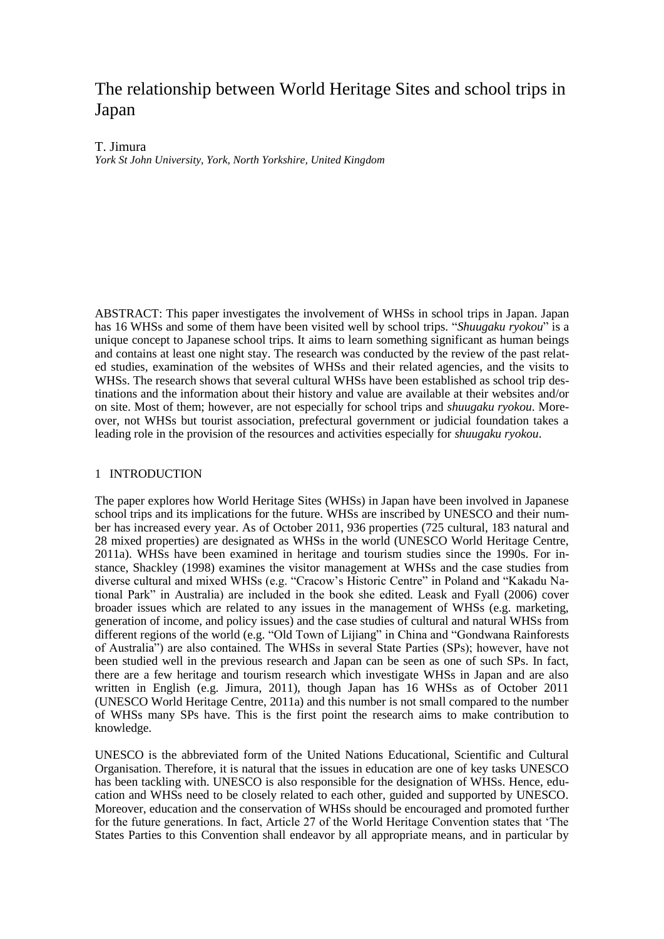# The relationship between World Heritage Sites and school trips in Japan

# T. Jimura

*York St John University, York, North Yorkshire, United Kingdom*

ABSTRACT: This paper investigates the involvement of WHSs in school trips in Japan. Japan has 16 WHSs and some of them have been visited well by school trips. "*Shuugaku ryokou*" is a unique concept to Japanese school trips. It aims to learn something significant as human beings and contains at least one night stay. The research was conducted by the review of the past related studies, examination of the websites of WHSs and their related agencies, and the visits to WHSs. The research shows that several cultural WHSs have been established as school trip destinations and the information about their history and value are available at their websites and/or on site. Most of them; however, are not especially for school trips and *shuugaku ryokou*. Moreover, not WHSs but tourist association, prefectural government or judicial foundation takes a leading role in the provision of the resources and activities especially for *shuugaku ryokou*.

### 1 INTRODUCTION

The paper explores how World Heritage Sites (WHSs) in Japan have been involved in Japanese school trips and its implications for the future. WHSs are inscribed by UNESCO and their number has increased every year. As of October 2011, 936 properties (725 cultural, 183 natural and 28 mixed properties) are designated as WHSs in the world (UNESCO World Heritage Centre, 2011a). WHSs have been examined in heritage and tourism studies since the 1990s. For instance, Shackley (1998) examines the visitor management at WHSs and the case studies from diverse cultural and mixed WHSs (e.g. "Cracow's Historic Centre" in Poland and "Kakadu National Park" in Australia) are included in the book she edited. Leask and Fyall (2006) cover broader issues which are related to any issues in the management of WHSs (e.g. marketing, generation of income, and policy issues) and the case studies of cultural and natural WHSs from different regions of the world (e.g. "Old Town of Lijiang" in China and "Gondwana Rainforests of Australia") are also contained. The WHSs in several State Parties (SPs); however, have not been studied well in the previous research and Japan can be seen as one of such SPs. In fact, there are a few heritage and tourism research which investigate WHSs in Japan and are also written in English (e.g. Jimura, 2011), though Japan has 16 WHSs as of October 2011 (UNESCO World Heritage Centre, 2011a) and this number is not small compared to the number of WHSs many SPs have. This is the first point the research aims to make contribution to knowledge.

UNESCO is the abbreviated form of the United Nations Educational, Scientific and Cultural Organisation. Therefore, it is natural that the issues in education are one of key tasks UNESCO has been tackling with. UNESCO is also responsible for the designation of WHSs. Hence, education and WHSs need to be closely related to each other, guided and supported by UNESCO. Moreover, education and the conservation of WHSs should be encouraged and promoted further for the future generations. In fact, Article 27 of the World Heritage Convention states that 'The States Parties to this Convention shall endeavor by all appropriate means, and in particular by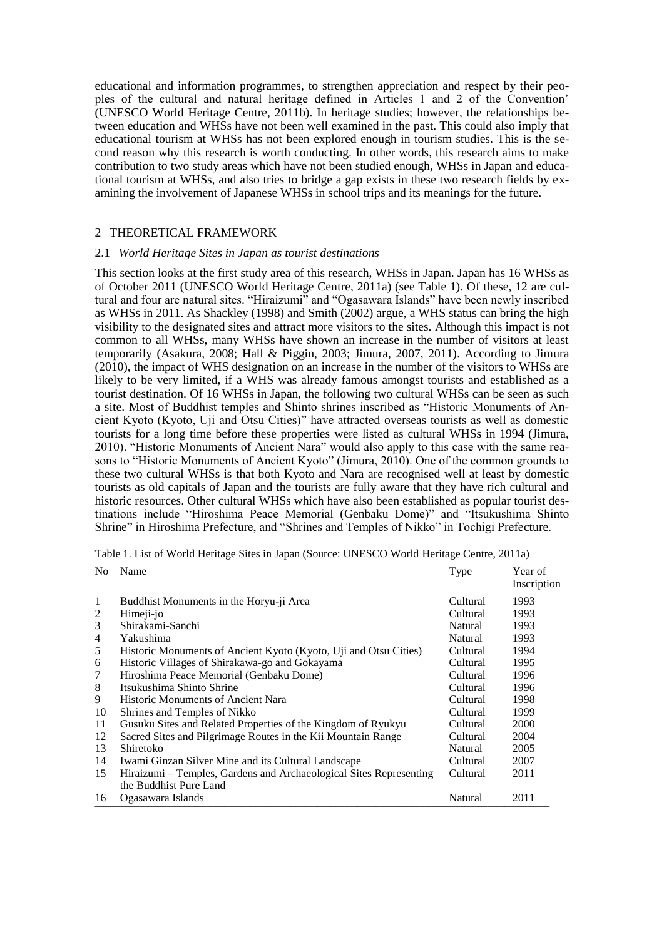educational and information programmes, to strengthen appreciation and respect by their peoples of the cultural and natural heritage defined in Articles 1 and 2 of the Convention' (UNESCO World Heritage Centre, 2011b). In heritage studies; however, the relationships between education and WHSs have not been well examined in the past. This could also imply that educational tourism at WHSs has not been explored enough in tourism studies. This is the second reason why this research is worth conducting. In other words, this research aims to make contribution to two study areas which have not been studied enough, WHSs in Japan and educational tourism at WHSs, and also tries to bridge a gap exists in these two research fields by examining the involvement of Japanese WHSs in school trips and its meanings for the future.

#### 2 THEORETICAL FRAMEWORK

#### 2.1 *World Heritage Sites in Japan as tourist destinations*

This section looks at the first study area of this research, WHSs in Japan. Japan has 16 WHSs as of October 2011 (UNESCO World Heritage Centre, 2011a) (see Table 1). Of these, 12 are cultural and four are natural sites. "Hiraizumi" and "Ogasawara Islands" have been newly inscribed as WHSs in 2011. As Shackley (1998) and Smith (2002) argue, a WHS status can bring the high visibility to the designated sites and attract more visitors to the sites. Although this impact is not common to all WHSs, many WHSs have shown an increase in the number of visitors at least temporarily (Asakura, 2008; Hall & Piggin, 2003; Jimura, 2007, 2011). According to Jimura (2010), the impact of WHS designation on an increase in the number of the visitors to WHSs are likely to be very limited, if a WHS was already famous amongst tourists and established as a tourist destination. Of 16 WHSs in Japan, the following two cultural WHSs can be seen as such a site. Most of Buddhist temples and Shinto shrines inscribed as "Historic Monuments of Ancient Kyoto (Kyoto, Uji and Otsu Cities)" have attracted overseas tourists as well as domestic tourists for a long time before these properties were listed as cultural WHSs in 1994 (Jimura, 2010). "Historic Monuments of Ancient Nara" would also apply to this case with the same reasons to "Historic Monuments of Ancient Kyoto" (Jimura, 2010). One of the common grounds to these two cultural WHSs is that both Kyoto and Nara are recognised well at least by domestic tourists as old capitals of Japan and the tourists are fully aware that they have rich cultural and historic resources. Other cultural WHSs which have also been established as popular tourist destinations include "Hiroshima Peace Memorial (Genbaku Dome)" and "Itsukushima Shinto Shrine" in Hiroshima Prefecture, and "Shrines and Temples of Nikko" in Tochigi Prefecture.

| No | Name                                                               | Type     | Year of<br>Inscription |
|----|--------------------------------------------------------------------|----------|------------------------|
| 1  | Buddhist Monuments in the Horyu-ji Area                            | Cultural | 1993                   |
| 2  | Himeji-jo                                                          | Cultural | 1993                   |
| 3  | Shirakami-Sanchi                                                   | Natural  | 1993                   |
| 4  | Yakushima                                                          | Natural  | 1993                   |
| 5  | Historic Monuments of Ancient Kyoto (Kyoto, Uji and Otsu Cities)   | Cultural | 1994                   |
| 6  | Historic Villages of Shirakawa-go and Gokayama                     | Cultural | 1995                   |
| 7  | Hiroshima Peace Memorial (Genbaku Dome)                            | Cultural | 1996                   |
| 8  | Itsukushima Shinto Shrine                                          | Cultural | 1996                   |
| 9  | Historic Monuments of Ancient Nara                                 | Cultural | 1998                   |
| 10 | Shrines and Temples of Nikko                                       | Cultural | 1999                   |
| 11 | Gusuku Sites and Related Properties of the Kingdom of Ryukyu       | Cultural | 2000                   |
| 12 | Sacred Sites and Pilgrimage Routes in the Kii Mountain Range       | Cultural | 2004                   |
| 13 | Shiretoko                                                          | Natural  | 2005                   |
| 14 | Iwami Ginzan Silver Mine and its Cultural Landscape                | Cultural | 2007                   |
| 15 | Hiraizumi – Temples, Gardens and Archaeological Sites Representing | Cultural | 2011                   |
|    | the Buddhist Pure Land                                             |          |                        |
| 16 | Ogasawara Islands                                                  | Natural  | 2011                   |

Table 1. List of World Heritage Sites in Japan (Source: UNESCO World Heritage Centre, 2011a)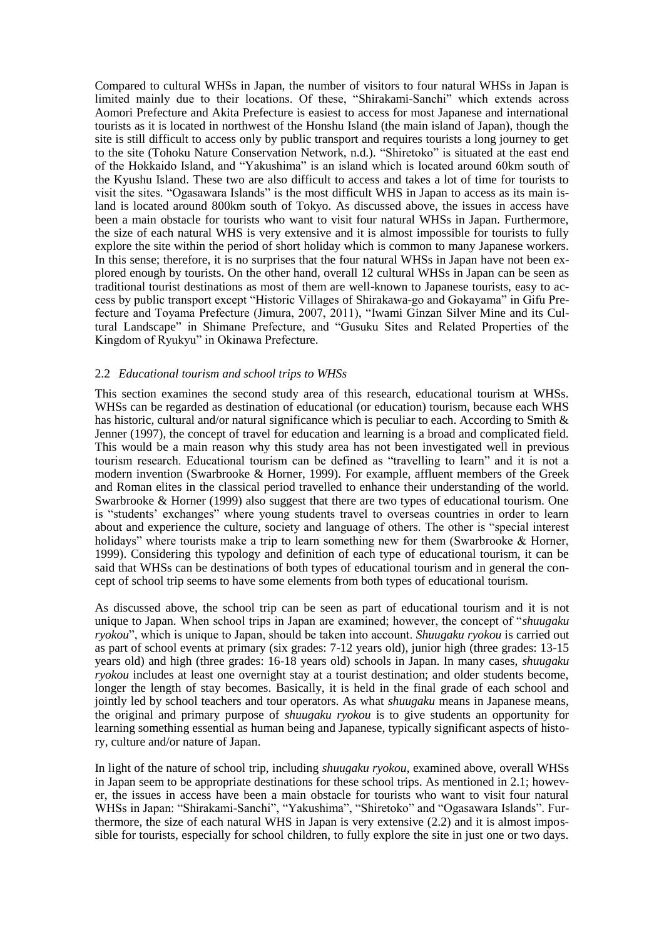Compared to cultural WHSs in Japan, the number of visitors to four natural WHSs in Japan is limited mainly due to their locations. Of these, "Shirakami-Sanchi" which extends across Aomori Prefecture and Akita Prefecture is easiest to access for most Japanese and international tourists as it is located in northwest of the Honshu Island (the main island of Japan), though the site is still difficult to access only by public transport and requires tourists a long journey to get to the site (Tohoku Nature Conservation Network, n.d.). "Shiretoko" is situated at the east end of the Hokkaido Island, and "Yakushima" is an island which is located around 60km south of the Kyushu Island. These two are also difficult to access and takes a lot of time for tourists to visit the sites. "Ogasawara Islands" is the most difficult WHS in Japan to access as its main island is located around 800km south of Tokyo. As discussed above, the issues in access have been a main obstacle for tourists who want to visit four natural WHSs in Japan. Furthermore, the size of each natural WHS is very extensive and it is almost impossible for tourists to fully explore the site within the period of short holiday which is common to many Japanese workers. In this sense; therefore, it is no surprises that the four natural WHSs in Japan have not been explored enough by tourists. On the other hand, overall 12 cultural WHSs in Japan can be seen as traditional tourist destinations as most of them are well-known to Japanese tourists, easy to access by public transport except "Historic Villages of Shirakawa-go and Gokayama" in Gifu Prefecture and Toyama Prefecture (Jimura, 2007, 2011), "Iwami Ginzan Silver Mine and its Cultural Landscape" in Shimane Prefecture, and "Gusuku Sites and Related Properties of the Kingdom of Ryukyu" in Okinawa Prefecture.

#### 2.2 *Educational tourism and school trips to WHSs*

This section examines the second study area of this research, educational tourism at WHSs. WHSs can be regarded as destination of educational (or education) tourism, because each WHS has historic, cultural and/or natural significance which is peculiar to each. According to Smith & Jenner (1997), the concept of travel for education and learning is a broad and complicated field. This would be a main reason why this study area has not been investigated well in previous tourism research. Educational tourism can be defined as "travelling to learn" and it is not a modern invention (Swarbrooke & Horner, 1999). For example, affluent members of the Greek and Roman elites in the classical period travelled to enhance their understanding of the world. Swarbrooke & Horner (1999) also suggest that there are two types of educational tourism. One is "students' exchanges" where young students travel to overseas countries in order to learn about and experience the culture, society and language of others. The other is "special interest holidays" where tourists make a trip to learn something new for them (Swarbrooke & Horner, 1999). Considering this typology and definition of each type of educational tourism, it can be said that WHSs can be destinations of both types of educational tourism and in general the concept of school trip seems to have some elements from both types of educational tourism.

As discussed above, the school trip can be seen as part of educational tourism and it is not unique to Japan. When school trips in Japan are examined; however, the concept of "*shuugaku ryokou*", which is unique to Japan, should be taken into account. *Shuugaku ryokou* is carried out as part of school events at primary (six grades: 7-12 years old), junior high (three grades: 13-15 years old) and high (three grades: 16-18 years old) schools in Japan. In many cases, *shuugaku ryokou* includes at least one overnight stay at a tourist destination; and older students become, longer the length of stay becomes. Basically, it is held in the final grade of each school and jointly led by school teachers and tour operators. As what *shuugaku* means in Japanese means, the original and primary purpose of *shuugaku ryokou* is to give students an opportunity for learning something essential as human being and Japanese, typically significant aspects of history, culture and/or nature of Japan.

In light of the nature of school trip, including *shuugaku ryokou*, examined above, overall WHSs in Japan seem to be appropriate destinations for these school trips. As mentioned in 2.1; however, the issues in access have been a main obstacle for tourists who want to visit four natural WHSs in Japan: "Shirakami-Sanchi", "Yakushima", "Shiretoko" and "Ogasawara Islands". Furthermore, the size of each natural WHS in Japan is very extensive (2.2) and it is almost impossible for tourists, especially for school children, to fully explore the site in just one or two days.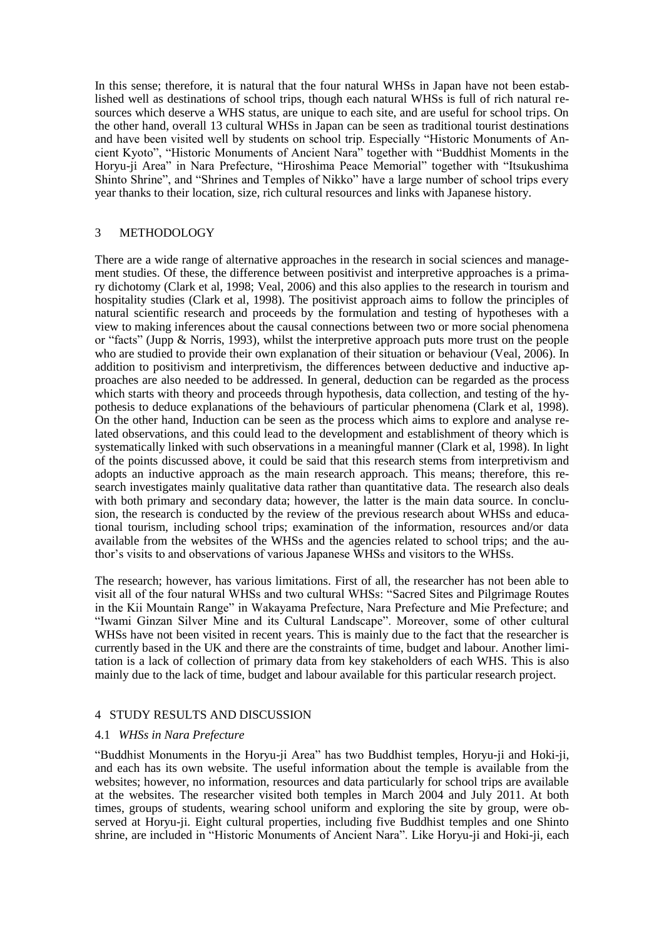In this sense; therefore, it is natural that the four natural WHSs in Japan have not been established well as destinations of school trips, though each natural WHSs is full of rich natural resources which deserve a WHS status, are unique to each site, and are useful for school trips. On the other hand, overall 13 cultural WHSs in Japan can be seen as traditional tourist destinations and have been visited well by students on school trip. Especially "Historic Monuments of Ancient Kyoto", "Historic Monuments of Ancient Nara" together with "Buddhist Moments in the Horyu-ji Area" in Nara Prefecture, "Hiroshima Peace Memorial" together with "Itsukushima Shinto Shrine", and "Shrines and Temples of Nikko" have a large number of school trips every year thanks to their location, size, rich cultural resources and links with Japanese history.

# 3 METHODOLOGY

There are a wide range of alternative approaches in the research in social sciences and management studies. Of these, the difference between positivist and interpretive approaches is a primary dichotomy (Clark et al, 1998; Veal, 2006) and this also applies to the research in tourism and hospitality studies (Clark et al, 1998). The positivist approach aims to follow the principles of natural scientific research and proceeds by the formulation and testing of hypotheses with a view to making inferences about the causal connections between two or more social phenomena or "facts" (Jupp & Norris, 1993), whilst the interpretive approach puts more trust on the people who are studied to provide their own explanation of their situation or behaviour (Veal, 2006). In addition to positivism and interpretivism, the differences between deductive and inductive approaches are also needed to be addressed. In general, deduction can be regarded as the process which starts with theory and proceeds through hypothesis, data collection, and testing of the hypothesis to deduce explanations of the behaviours of particular phenomena (Clark et al, 1998). On the other hand, Induction can be seen as the process which aims to explore and analyse related observations, and this could lead to the development and establishment of theory which is systematically linked with such observations in a meaningful manner (Clark et al, 1998). In light of the points discussed above, it could be said that this research stems from interpretivism and adopts an inductive approach as the main research approach. This means; therefore, this research investigates mainly qualitative data rather than quantitative data. The research also deals with both primary and secondary data; however, the latter is the main data source. In conclusion, the research is conducted by the review of the previous research about WHSs and educational tourism, including school trips; examination of the information, resources and/or data available from the websites of the WHSs and the agencies related to school trips; and the author's visits to and observations of various Japanese WHSs and visitors to the WHSs.

The research; however, has various limitations. First of all, the researcher has not been able to visit all of the four natural WHSs and two cultural WHSs: "Sacred Sites and Pilgrimage Routes in the Kii Mountain Range" in Wakayama Prefecture, Nara Prefecture and Mie Prefecture; and "Iwami Ginzan Silver Mine and its Cultural Landscape". Moreover, some of other cultural WHSs have not been visited in recent years. This is mainly due to the fact that the researcher is currently based in the UK and there are the constraints of time, budget and labour. Another limitation is a lack of collection of primary data from key stakeholders of each WHS. This is also mainly due to the lack of time, budget and labour available for this particular research project.

# 4 STUDY RESULTS AND DISCUSSION

#### 4.1 *WHSs in Nara Prefecture*

"Buddhist Monuments in the Horyu-ji Area" has two Buddhist temples, Horyu-ji and Hoki-ji, and each has its own website. The useful information about the temple is available from the websites; however, no information, resources and data particularly for school trips are available at the websites. The researcher visited both temples in March 2004 and July 2011. At both times, groups of students, wearing school uniform and exploring the site by group, were observed at Horyu-ji. Eight cultural properties, including five Buddhist temples and one Shinto shrine, are included in "Historic Monuments of Ancient Nara". Like Horyu-ji and Hoki-ji, each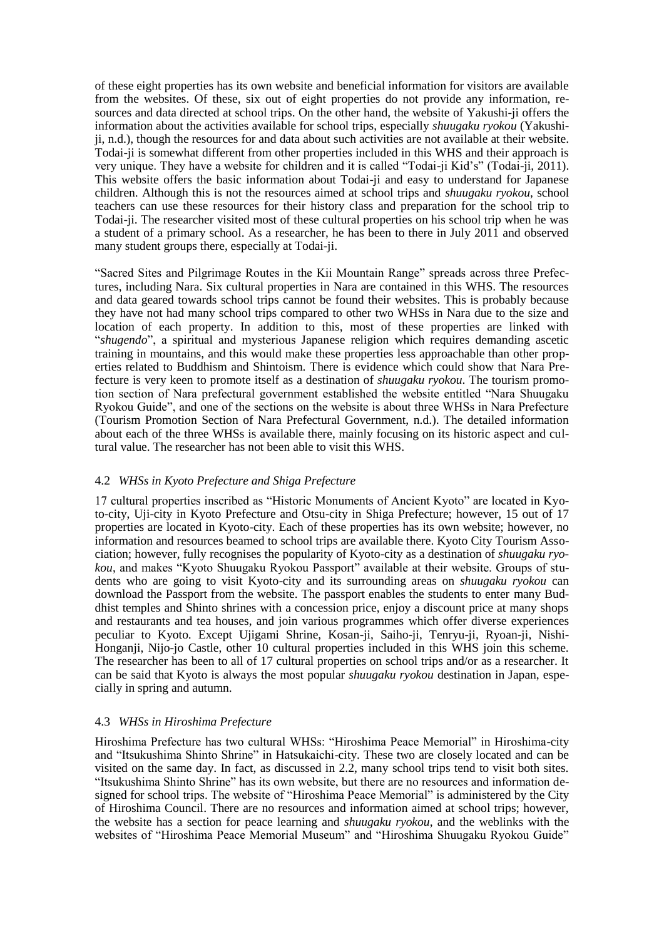of these eight properties has its own website and beneficial information for visitors are available from the websites. Of these, six out of eight properties do not provide any information, resources and data directed at school trips. On the other hand, the website of Yakushi-ji offers the information about the activities available for school trips, especially *shuugaku ryokou* (Yakushiji, n.d.), though the resources for and data about such activities are not available at their website. Todai-ji is somewhat different from other properties included in this WHS and their approach is very unique. They have a website for children and it is called "Todai-ji Kid's" (Todai-ji, 2011). This website offers the basic information about Todai-ji and easy to understand for Japanese children. Although this is not the resources aimed at school trips and *shuugaku ryokou*, school teachers can use these resources for their history class and preparation for the school trip to Todai-ji. The researcher visited most of these cultural properties on his school trip when he was a student of a primary school. As a researcher, he has been to there in July 2011 and observed many student groups there, especially at Todai-ji.

"Sacred Sites and Pilgrimage Routes in the Kii Mountain Range" spreads across three Prefectures, including Nara. Six cultural properties in Nara are contained in this WHS. The resources and data geared towards school trips cannot be found their websites. This is probably because they have not had many school trips compared to other two WHSs in Nara due to the size and location of each property. In addition to this, most of these properties are linked with "*shugendo*", a spiritual and mysterious Japanese religion which requires demanding ascetic training in mountains, and this would make these properties less approachable than other properties related to Buddhism and Shintoism. There is evidence which could show that Nara Prefecture is very keen to promote itself as a destination of *shuugaku ryokou*. The tourism promotion section of Nara prefectural government established the website entitled "Nara Shuugaku Ryokou Guide", and one of the sections on the website is about three WHSs in Nara Prefecture (Tourism Promotion Section of Nara Prefectural Government, n.d.). The detailed information about each of the three WHSs is available there, mainly focusing on its historic aspect and cultural value. The researcher has not been able to visit this WHS.

# 4.2 *WHSs in Kyoto Prefecture and Shiga Prefecture*

17 cultural properties inscribed as "Historic Monuments of Ancient Kyoto" are located in Kyoto-city, Uji-city in Kyoto Prefecture and Otsu-city in Shiga Prefecture; however, 15 out of 17 properties are located in Kyoto-city. Each of these properties has its own website; however, no information and resources beamed to school trips are available there. Kyoto City Tourism Association; however, fully recognises the popularity of Kyoto-city as a destination of *shuugaku ryokou*, and makes "Kyoto Shuugaku Ryokou Passport" available at their website. Groups of students who are going to visit Kyoto-city and its surrounding areas on *shuugaku ryokou* can download the Passport from the website. The passport enables the students to enter many Buddhist temples and Shinto shrines with a concession price, enjoy a discount price at many shops and restaurants and tea houses, and join various programmes which offer diverse experiences peculiar to Kyoto. Except Ujigami Shrine, Kosan-ji, Saiho-ji, Tenryu-ji, Ryoan-ji, Nishi-Honganji, Nijo-jo Castle, other 10 cultural properties included in this WHS join this scheme. The researcher has been to all of 17 cultural properties on school trips and/or as a researcher. It can be said that Kyoto is always the most popular *shuugaku ryokou* destination in Japan, especially in spring and autumn.

# 4.3 *WHSs in Hiroshima Prefecture*

Hiroshima Prefecture has two cultural WHSs: "Hiroshima Peace Memorial" in Hiroshima-city and "Itsukushima Shinto Shrine" in Hatsukaichi-city. These two are closely located and can be visited on the same day. In fact, as discussed in 2.2, many school trips tend to visit both sites. "Itsukushima Shinto Shrine" has its own website, but there are no resources and information designed for school trips. The website of "Hiroshima Peace Memorial" is administered by the City of Hiroshima Council. There are no resources and information aimed at school trips; however, the website has a section for peace learning and *shuugaku ryokou*, and the weblinks with the websites of "Hiroshima Peace Memorial Museum" and "Hiroshima Shuugaku Ryokou Guide"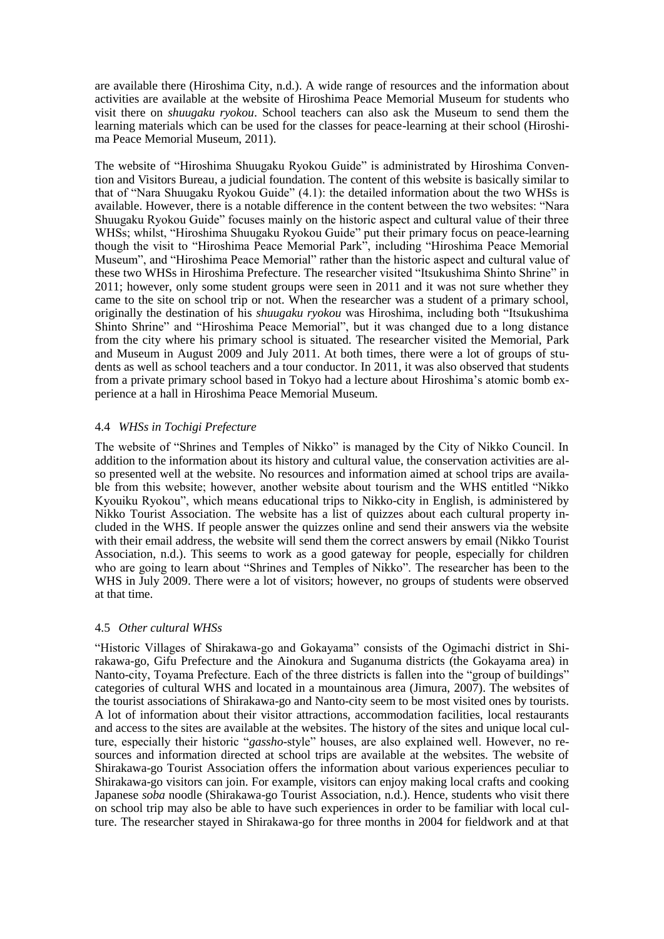are available there (Hiroshima City, n.d.). A wide range of resources and the information about activities are available at the website of Hiroshima Peace Memorial Museum for students who visit there on *shuugaku ryokou*. School teachers can also ask the Museum to send them the learning materials which can be used for the classes for peace-learning at their school (Hiroshima Peace Memorial Museum, 2011).

The website of "Hiroshima Shuugaku Ryokou Guide" is administrated by Hiroshima Convention and Visitors Bureau, a judicial foundation. The content of this website is basically similar to that of "Nara Shuugaku Ryokou Guide" (4.1): the detailed information about the two WHSs is available. However, there is a notable difference in the content between the two websites: "Nara Shuugaku Ryokou Guide" focuses mainly on the historic aspect and cultural value of their three WHSs; whilst, "Hiroshima Shuugaku Ryokou Guide" put their primary focus on peace-learning though the visit to "Hiroshima Peace Memorial Park", including "Hiroshima Peace Memorial Museum", and "Hiroshima Peace Memorial" rather than the historic aspect and cultural value of these two WHSs in Hiroshima Prefecture. The researcher visited "Itsukushima Shinto Shrine" in 2011; however, only some student groups were seen in 2011 and it was not sure whether they came to the site on school trip or not. When the researcher was a student of a primary school, originally the destination of his *shuugaku ryokou* was Hiroshima, including both "Itsukushima Shinto Shrine" and "Hiroshima Peace Memorial", but it was changed due to a long distance from the city where his primary school is situated. The researcher visited the Memorial, Park and Museum in August 2009 and July 2011. At both times, there were a lot of groups of students as well as school teachers and a tour conductor. In 2011, it was also observed that students from a private primary school based in Tokyo had a lecture about Hiroshima's atomic bomb experience at a hall in Hiroshima Peace Memorial Museum.

# 4.4 *WHSs in Tochigi Prefecture*

The website of "Shrines and Temples of Nikko" is managed by the City of Nikko Council. In addition to the information about its history and cultural value, the conservation activities are also presented well at the website. No resources and information aimed at school trips are available from this website; however, another website about tourism and the WHS entitled "Nikko Kyouiku Ryokou", which means educational trips to Nikko-city in English, is administered by Nikko Tourist Association. The website has a list of quizzes about each cultural property included in the WHS. If people answer the quizzes online and send their answers via the website with their email address, the website will send them the correct answers by email (Nikko Tourist Association, n.d.). This seems to work as a good gateway for people, especially for children who are going to learn about "Shrines and Temples of Nikko". The researcher has been to the WHS in July 2009. There were a lot of visitors; however, no groups of students were observed at that time.

# 4.5 *Other cultural WHSs*

"Historic Villages of Shirakawa-go and Gokayama" consists of the Ogimachi district in Shirakawa-go, Gifu Prefecture and the Ainokura and Suganuma districts (the Gokayama area) in Nanto-city, Toyama Prefecture. Each of the three districts is fallen into the "group of buildings" categories of cultural WHS and located in a mountainous area (Jimura, 2007). The websites of the tourist associations of Shirakawa-go and Nanto-city seem to be most visited ones by tourists. A lot of information about their visitor attractions, accommodation facilities, local restaurants and access to the sites are available at the websites. The history of the sites and unique local culture, especially their historic "*gassho*-style" houses, are also explained well. However, no resources and information directed at school trips are available at the websites. The website of Shirakawa-go Tourist Association offers the information about various experiences peculiar to Shirakawa-go visitors can join. For example, visitors can enjoy making local crafts and cooking Japanese *soba* noodle (Shirakawa-go Tourist Association, n.d.). Hence, students who visit there on school trip may also be able to have such experiences in order to be familiar with local culture. The researcher stayed in Shirakawa-go for three months in 2004 for fieldwork and at that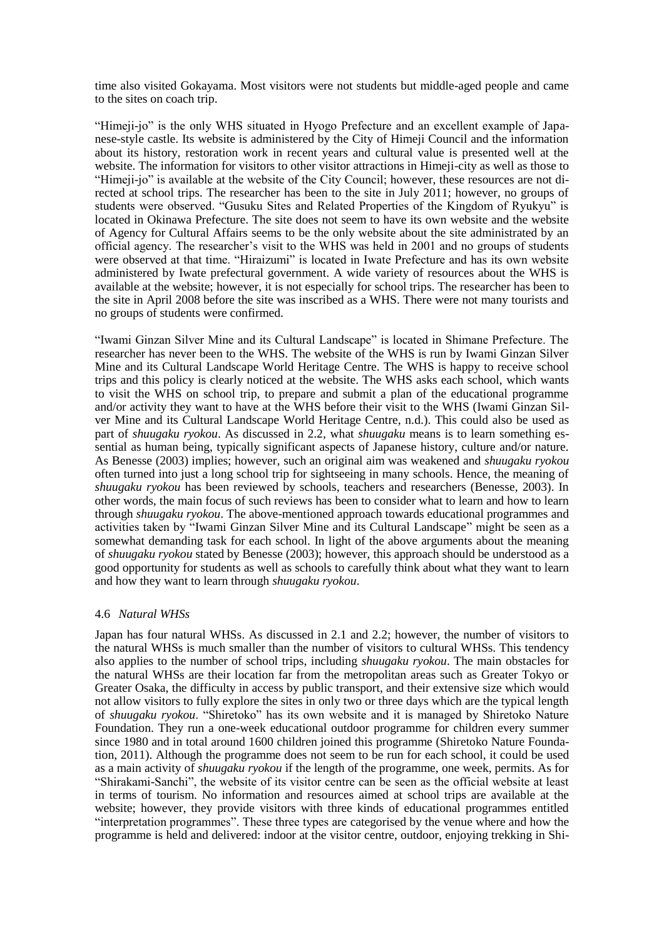time also visited Gokayama. Most visitors were not students but middle-aged people and came to the sites on coach trip.

"Himeji-jo" is the only WHS situated in Hyogo Prefecture and an excellent example of Japanese-style castle. Its website is administered by the City of Himeji Council and the information about its history, restoration work in recent years and cultural value is presented well at the website. The information for visitors to other visitor attractions in Himeji-city as well as those to "Himeji-jo" is available at the website of the City Council; however, these resources are not directed at school trips. The researcher has been to the site in July 2011; however, no groups of students were observed. "Gusuku Sites and Related Properties of the Kingdom of Ryukyu" is located in Okinawa Prefecture. The site does not seem to have its own website and the website of Agency for Cultural Affairs seems to be the only website about the site administrated by an official agency. The researcher's visit to the WHS was held in 2001 and no groups of students were observed at that time. "Hiraizumi" is located in Iwate Prefecture and has its own website administered by Iwate prefectural government. A wide variety of resources about the WHS is available at the website; however, it is not especially for school trips. The researcher has been to the site in April 2008 before the site was inscribed as a WHS. There were not many tourists and no groups of students were confirmed.

"Iwami Ginzan Silver Mine and its Cultural Landscape" is located in Shimane Prefecture. The researcher has never been to the WHS. The website of the WHS is run by Iwami Ginzan Silver Mine and its Cultural Landscape World Heritage Centre. The WHS is happy to receive school trips and this policy is clearly noticed at the website. The WHS asks each school, which wants to visit the WHS on school trip, to prepare and submit a plan of the educational programme and/or activity they want to have at the WHS before their visit to the WHS (Iwami Ginzan Silver Mine and its Cultural Landscape World Heritage Centre, n.d.). This could also be used as part of *shuugaku ryokou*. As discussed in 2.2, what *shuugaku* means is to learn something essential as human being, typically significant aspects of Japanese history, culture and/or nature. As Benesse (2003) implies; however, such an original aim was weakened and *shuugaku ryokou* often turned into just a long school trip for sightseeing in many schools. Hence, the meaning of *shuugaku ryokou* has been reviewed by schools, teachers and researchers (Benesse, 2003). In other words, the main focus of such reviews has been to consider what to learn and how to learn through *shuugaku ryokou*. The above-mentioned approach towards educational programmes and activities taken by "Iwami Ginzan Silver Mine and its Cultural Landscape" might be seen as a somewhat demanding task for each school. In light of the above arguments about the meaning of *shuugaku ryokou* stated by Benesse (2003); however, this approach should be understood as a good opportunity for students as well as schools to carefully think about what they want to learn and how they want to learn through *shuugaku ryokou*.

# 4.6 *Natural WHSs*

Japan has four natural WHSs. As discussed in 2.1 and 2.2; however, the number of visitors to the natural WHSs is much smaller than the number of visitors to cultural WHSs. This tendency also applies to the number of school trips, including *shuugaku ryokou*. The main obstacles for the natural WHSs are their location far from the metropolitan areas such as Greater Tokyo or Greater Osaka, the difficulty in access by public transport, and their extensive size which would not allow visitors to fully explore the sites in only two or three days which are the typical length of *shuugaku ryokou*. "Shiretoko" has its own website and it is managed by Shiretoko Nature Foundation. They run a one-week educational outdoor programme for children every summer since 1980 and in total around 1600 children joined this programme (Shiretoko Nature Foundation, 2011). Although the programme does not seem to be run for each school, it could be used as a main activity of *shuugaku ryokou* if the length of the programme, one week, permits. As for "Shirakami-Sanchi", the website of its visitor centre can be seen as the official website at least in terms of tourism. No information and resources aimed at school trips are available at the website; however, they provide visitors with three kinds of educational programmes entitled "interpretation programmes". These three types are categorised by the venue where and how the programme is held and delivered: indoor at the visitor centre, outdoor, enjoying trekking in Shi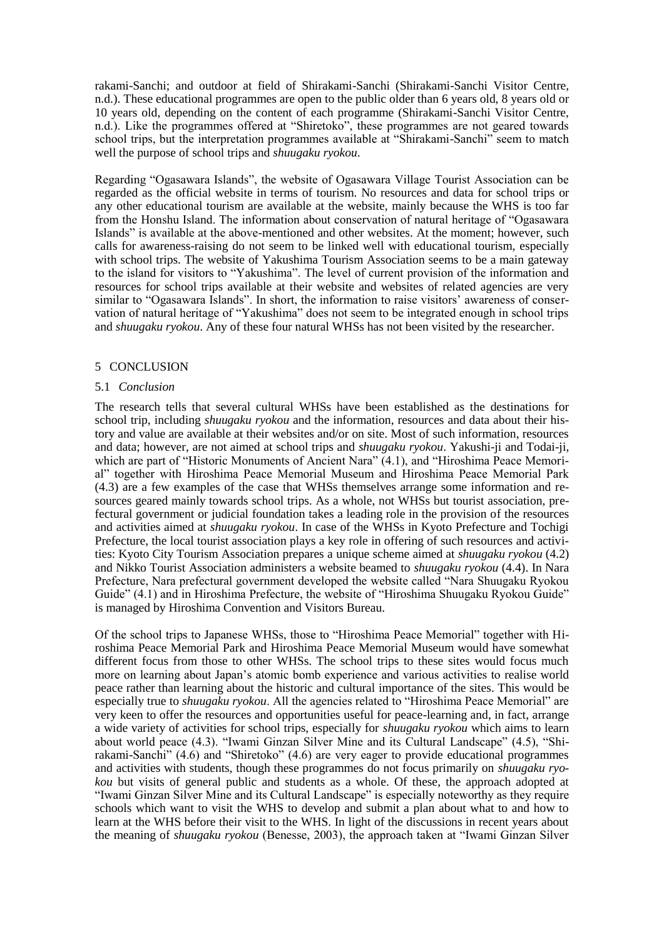rakami-Sanchi; and outdoor at field of Shirakami-Sanchi (Shirakami-Sanchi Visitor Centre, n.d.). These educational programmes are open to the public older than 6 years old, 8 years old or 10 years old, depending on the content of each programme (Shirakami-Sanchi Visitor Centre, n.d.). Like the programmes offered at "Shiretoko", these programmes are not geared towards school trips, but the interpretation programmes available at "Shirakami-Sanchi" seem to match well the purpose of school trips and *shuugaku ryokou*.

Regarding "Ogasawara Islands", the website of Ogasawara Village Tourist Association can be regarded as the official website in terms of tourism. No resources and data for school trips or any other educational tourism are available at the website, mainly because the WHS is too far from the Honshu Island. The information about conservation of natural heritage of "Ogasawara Islands" is available at the above-mentioned and other websites. At the moment; however, such calls for awareness-raising do not seem to be linked well with educational tourism, especially with school trips. The website of Yakushima Tourism Association seems to be a main gateway to the island for visitors to "Yakushima". The level of current provision of the information and resources for school trips available at their website and websites of related agencies are very similar to "Ogasawara Islands". In short, the information to raise visitors' awareness of conservation of natural heritage of "Yakushima" does not seem to be integrated enough in school trips and *shuugaku ryokou*. Any of these four natural WHSs has not been visited by the researcher.

#### 5 CONCLUSION

#### 5.1 *Conclusion*

The research tells that several cultural WHSs have been established as the destinations for school trip, including *shuugaku ryokou* and the information, resources and data about their history and value are available at their websites and/or on site. Most of such information, resources and data; however, are not aimed at school trips and *shuugaku ryokou*. Yakushi-ji and Todai-ji, which are part of "Historic Monuments of Ancient Nara" (4.1), and "Hiroshima Peace Memorial" together with Hiroshima Peace Memorial Museum and Hiroshima Peace Memorial Park (4.3) are a few examples of the case that WHSs themselves arrange some information and resources geared mainly towards school trips. As a whole, not WHSs but tourist association, prefectural government or judicial foundation takes a leading role in the provision of the resources and activities aimed at *shuugaku ryokou*. In case of the WHSs in Kyoto Prefecture and Tochigi Prefecture, the local tourist association plays a key role in offering of such resources and activities: Kyoto City Tourism Association prepares a unique scheme aimed at *shuugaku ryokou* (4.2) and Nikko Tourist Association administers a website beamed to *shuugaku ryokou* (4.4). In Nara Prefecture, Nara prefectural government developed the website called "Nara Shuugaku Ryokou Guide" (4.1) and in Hiroshima Prefecture, the website of "Hiroshima Shuugaku Ryokou Guide" is managed by Hiroshima Convention and Visitors Bureau.

Of the school trips to Japanese WHSs, those to "Hiroshima Peace Memorial" together with Hiroshima Peace Memorial Park and Hiroshima Peace Memorial Museum would have somewhat different focus from those to other WHSs. The school trips to these sites would focus much more on learning about Japan's atomic bomb experience and various activities to realise world peace rather than learning about the historic and cultural importance of the sites. This would be especially true to *shuugaku ryokou*. All the agencies related to "Hiroshima Peace Memorial" are very keen to offer the resources and opportunities useful for peace-learning and, in fact, arrange a wide variety of activities for school trips, especially for *shuugaku ryokou* which aims to learn about world peace (4.3). "Iwami Ginzan Silver Mine and its Cultural Landscape" (4.5), "Shirakami-Sanchi" (4.6) and "Shiretoko" (4.6) are very eager to provide educational programmes and activities with students, though these programmes do not focus primarily on *shuugaku ryokou* but visits of general public and students as a whole. Of these, the approach adopted at "Iwami Ginzan Silver Mine and its Cultural Landscape" is especially noteworthy as they require schools which want to visit the WHS to develop and submit a plan about what to and how to learn at the WHS before their visit to the WHS. In light of the discussions in recent years about the meaning of *shuugaku ryokou* (Benesse, 2003), the approach taken at "Iwami Ginzan Silver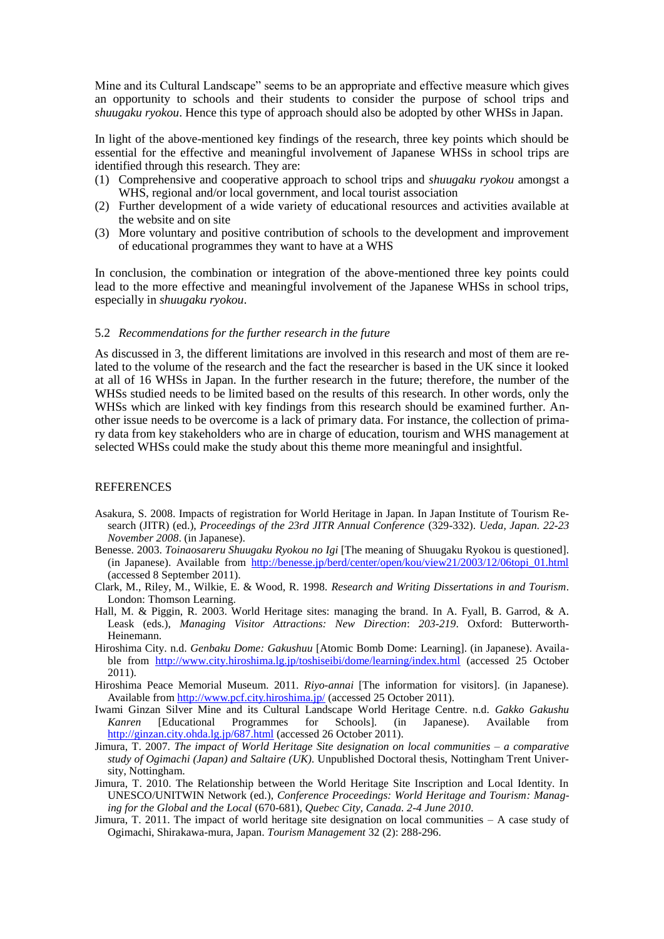Mine and its Cultural Landscape" seems to be an appropriate and effective measure which gives an opportunity to schools and their students to consider the purpose of school trips and *shuugaku ryokou*. Hence this type of approach should also be adopted by other WHSs in Japan.

In light of the above-mentioned key findings of the research, three key points which should be essential for the effective and meaningful involvement of Japanese WHSs in school trips are identified through this research. They are:

- (1) Comprehensive and cooperative approach to school trips and *shuugaku ryokou* amongst a WHS, regional and/or local government, and local tourist association
- (2) Further development of a wide variety of educational resources and activities available at the website and on site
- (3) More voluntary and positive contribution of schools to the development and improvement of educational programmes they want to have at a WHS

In conclusion, the combination or integration of the above-mentioned three key points could lead to the more effective and meaningful involvement of the Japanese WHSs in school trips, especially in *shuugaku ryokou*.

#### 5.2 *Recommendations for the further research in the future*

As discussed in 3, the different limitations are involved in this research and most of them are related to the volume of the research and the fact the researcher is based in the UK since it looked at all of 16 WHSs in Japan. In the further research in the future; therefore, the number of the WHSs studied needs to be limited based on the results of this research. In other words, only the WHSs which are linked with key findings from this research should be examined further. Another issue needs to be overcome is a lack of primary data. For instance, the collection of primary data from key stakeholders who are in charge of education, tourism and WHS management at selected WHSs could make the study about this theme more meaningful and insightful.

#### REFERENCES

- Asakura, S. 2008. Impacts of registration for World Heritage in Japan. In Japan Institute of Tourism Research (JITR) (ed.), *Proceedings of the 23rd JITR Annual Conference* (329-332). *Ueda, Japan. 22-23 November 2008*. (in Japanese).
- Benesse. 2003. *Toinaosareru Shuugaku Ryokou no Igi* [The meaning of Shuugaku Ryokou is questioned]. (in Japanese). Available from [http://benesse.jp/berd/center/open/kou/view21/2003/12/06topi\\_01.html](http://benesse.jp/berd/center/open/kou/view21/2003/12/06topi_01.html) (accessed 8 September 2011).
- Clark, M., Riley, M., Wilkie, E. & Wood, R. 1998. *Research and Writing Dissertations in and Tourism*. London: Thomson Learning.
- Hall, M. & Piggin, R. 2003. World Heritage sites: managing the brand. In A. Fyall, B. Garrod, & A. Leask (eds.), *Managing Visitor Attractions: New Direction*: *203-219*. Oxford: Butterworth-Heinemann.
- Hiroshima City. n.d. *Genbaku Dome: Gakushuu* [Atomic Bomb Dome: Learning]. (in Japanese). Available from <http://www.city.hiroshima.lg.jp/toshiseibi/dome/learning/index.html> (accessed 25 October 2011).
- Hiroshima Peace Memorial Museum. 2011. *Riyo-annai* [The information for visitors]. (in Japanese). Available from<http://www.pcf.city.hiroshima.jp/> (accessed 25 October 2011).
- Iwami Ginzan Silver Mine and its Cultural Landscape World Heritage Centre. n.d. *Gakko Gakushu Kanren* [Educational Programmes for Schools]. (in Japanese). Available from <http://ginzan.city.ohda.lg.jp/687.html> (accessed 26 October 2011).
- Jimura, T. 2007. *The impact of World Heritage Site designation on local communities – a comparative study of Ogimachi (Japan) and Saltaire (UK)*. Unpublished Doctoral thesis, Nottingham Trent University, Nottingham.
- Jimura, T. 2010. The Relationship between the World Heritage Site Inscription and Local Identity. In UNESCO/UNITWIN Network (ed.), *Conference Proceedings: World Heritage and Tourism: Managing for the Global and the Local* (670-681), *Quebec City, Canada. 2-4 June 2010*.
- Jimura, T. 2011. The impact of world heritage site designation on local communities A case study of Ogimachi, Shirakawa-mura, Japan. *Tourism Management* 32 (2): 288-296.